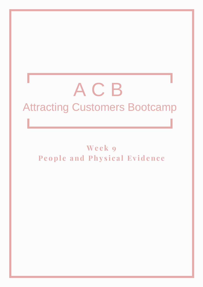# A C B Attracting Customers Bootcamp

**We e k 9 Pe o p l e and Phy s i c a l Ev i d enc e**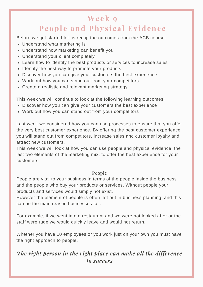## **We e k 9 People and Physical Evidence**

Before we get started let us recap the outcomes from the ACB course:

- Understand what marketing is
- Understand how marketing can benefit you
- Understand your client completely
- Learn how to identify the best products or services to increase sales
- Identify the best way to promote your products
- Discover how you can give your customers the best experience
- Work out how you can stand out from your competitors
- Create a realistic and relevant marketing strategy

This week we will continue to look at the following learning outcomes:

- Discover how you can give your customers the best experience
- Work out how you can stand out from your competitors

Last week we considered how you can use processes to ensure that you offer the very best customer experience. By offering the best customer experience you will stand out from competitors, increase sales and customer loyalty and attract new customers.

This week we will look at how you can use people and physical evidence, the last two elements of the marketing mix, to offer the best experience for your customers.

#### **People**

People are vital to your business in terms of the people inside the business and the people who buy your products or services. Without people your products and services would simply not exist.

However the element of people is often left out in business planning, and this can be the main reason businesses fail.

For example, if we went into a restaurant and we were not looked after or the staff were rude we would quickly leave and would not return.

Whether you have 10 employees or you work just on your own you must have the right approach to people.

### *The right person in the right place can make all the difference to success*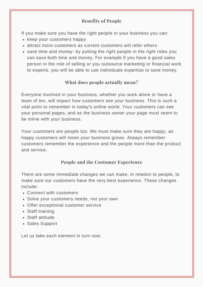#### **Benefits of People**

If you make sure you have the right people in your business you can:

- keep your customers happy
- attract more customers as current customers will refer others
- save time and money- by putting the right people in the right roles you can save both time and money, For example if you have a good sales person in the role of selling or you outsource marketing or financial work to experts, you will be able to use individuals expertise to save money.

#### **What does people actually mean?**

Everyone involved in your business, whether you work alone or have a team of ten, will impact how customers see your business. This is such a vital point to remember in today's online world. Your customers can see your personal pages, and as the business owner your page must seem to be inline with your business.

Your customers are people too. We must make sure they are happy, as happy customers will mean your business grows. Always remember customers remember the experience and the people more than the product and service.

#### **People and the Customer Experience**

There are some immediate changes we can make, in relation to people, to make sure our customers have the very best experience. These changes include:

- Connect with customers
- Solve your customers needs, not your own
- Offer exceptional customer service
- Staff training
- Staff attitude
- Sales Support

Let us take each element in turn now.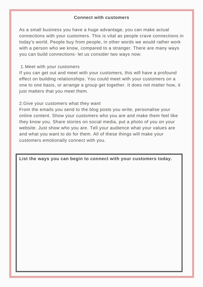#### **Connect with customers**

As a small business you have a huge advantage, you can make actual connections with your customers. This is vital as people crave connections in today's world. People buy from people, in other words we would rather work with a person who we know, compared to a stranger. There are many ways you can build connections- let us consider two ways now:

#### Meet with your customers 1.

If you can get out and meet with your customers, this will have a profound effect on building relationships. You could meet with your customers on a one to one basis, or arrange a group get together. It does not matter how, it just matters that you meet them.

#### 2.Give your customers what they want

From the emails you send to the blog posts you write, personalise your online content. Show your customers who you are and make them feel like they know you. Share stories on social media, put a photo of you on your website. Just show who you are. Tell your audience what your values are and what you want to do for them. All of these things will make your customers emotionally connect with you.

**List the ways you can begin to connect with your customers today.**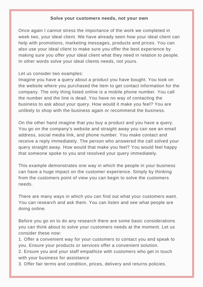#### **Solve your customers needs, not your own**

Once again I cannot stress the importance of the work we completed in week two, your ideal client. We have already seen how your ideal client can help with promotions, marketing messages, products and prices. You can also use your ideal client to make sure you offer the best experience by making sure you offer your ideal client what they need in relation to people. In other words solve your ideal clients needs, not yours.

#### Let us consider two examples:

Imagine you have a query about a product you have bought. You look on the website where you purchased the item to get contact information for the company. The only thing listed online is a mobile phone number. You call the number and the line is dead. You have no way of contacting the business to ask about your query. How would it make you feel? You are unlikely to shop with the business again or recommend the business.

On the other hand imagine that you buy a product and you have a query. You go on the company's website and straight away you can see an email address, social media link, and phone number. You make contact and receive a reply immediately. The person who answered the call solved your query straight away. How would that make you feel? You would feel happy that someone spoke to you and resolved your query immediately.

This example demonstrates one way in which the people in your business can have a huge impact on the customer experience. Simply by thinking from the customers point of view you can begin to solve the customers needs.

There are many ways in which you can find out what your customers want. You can research and ask them. You can listen and see what people are doing online.

Before you go on to do any research there are some basic considerations you can think about to solve your customers needs at the moment. Let us consider these now:

1. Offer a convenient way for your customers to contact you and speak to you. Ensure your products or services offer a convenient solution.

2. Ensure you and your staff empathize with customers who get in touch with your business for assistance

3. Offer fair terms and condition, prices, delivery and returns policies.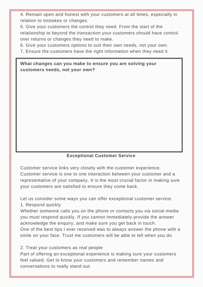4. Remain open and honest with your customers at all times, especially in relation to mistakes or changes.

5. Give your customers the control they need. From the start of the relationship to beyond the transaction your customers should have control over returns or changes they need to make.

6. Give your customers options to suit their own needs, not your own.

7. Ensure the customers have the right information when they need it.

#### **What changes can you make to ensure you are solving your customers needs, not your own?**

#### **Exceptional Customer Service**

Customer service links very closely with the customer experience. Customer service is one to one interaction between your customer and a representative of your company. It is the most crucial factor in making sure your customers are satisfied to ensure they come back.

Let us consider some ways you can offer exceptional customer service.

1. Respond quickly

Whether someone calls you on the phone or contacts you via social media you must respond quickly. If you cannot immediately provide the answer acknowledge the enquiry, and make sure you get back in touch. One of the best tips I ever received was to always answer the phone with a smile on your face. Trust me customers will be able to tell when you do.

2. Treat your customers as *real* people

Part of offering an exceptional experience is making sure your customers feel valued. Get to know your customers and remember names and conversations to really stand out.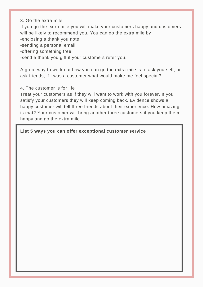3. Go the extra mile

If you go the extra mile you will make your customers happy and customers will be likely to recommend you. You can go the extra mile by -enclosing a thank you note

-sending a personal email

-offering something free

-send a thank you gift if your customers refer you.

A great way to work out how you can go the extra mile is to ask yourself, or ask friends, if I was a customer what would make me feel special?

#### 4. The customer is for life

Treat your customers as if they will want to work with you forever. If you satisfy your customers they will keep coming back. Evidence shows a happy customer will tell three friends about their experience. How amazing is that? Your customer will bring another three customers if you keep them happy and go the extra mile.

**List 5 ways you can offer exceptional customer service**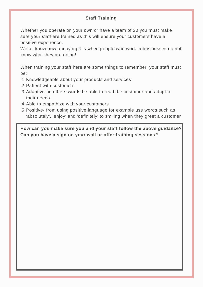#### **Staff Training**

Whether you operate on your own or have a team of 20 you must make sure your staff are trained as this will ensure your customers have a positive experience.

We all know how annoying it is when people who work in businesses do not know what they are doing!

When training your staff here are some things to remember, your staff must be:

- 1. Knowledgeable about your products and services
- 2. Patient with customers
- 3. Adaptive- in others words be able to read the customer and adapt to their needs.
- 4. Able to empathize with your customers
- 5. Positive- from using positive language for example use words such as 'absolutely', 'enjoy' and 'definitely' to smiling when they greet a customer

**How can you make sure you and your staff follow the above guidance? Can you have a sign on your wall or offer training sessions?**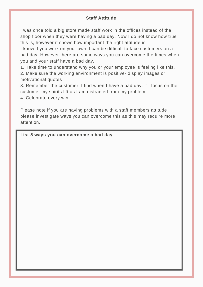#### **Staff Attitude**

I was once told a big store made staff work in the offices instead of the shop floor when they were having a bad day. Now I do not know how true this is, however it shows how important the right attitude is.

I know if you work on your own it can be difficult to face customers on a bad day. However there are some ways you can overcome the times when you and your staff have a bad day.

1. Take time to understand why you or your employee is feeling like this. 2. Make sure the working environment is positive- display images or motivational quotes

3. Remember the customer. I find when I have a bad day, if I focus on the customer my spirits lift as I am distracted from my problem.

4. Celebrate every win!

Please note if you are having problems with a staff members attitude please investigate ways you can overcome this as this may require more attention.

**List 5 ways you can overcome a bad day**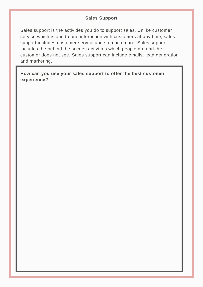#### **Sales Support**

Sales support is the activities you do to support sales. Unlike customer service which is one to one interaction with customers at any time, sales support includes customer service and so much more. Sales support includes the behind the scenes activities which people do, and the customer does not see. Sales support can include emails, lead generation and marketing.

**How can you use your sales support to offer the best customer experience?**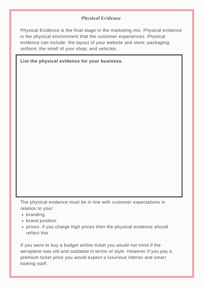#### **Physical Evidence**

Physical Evidence is the final stage in the marketing mix. Physical evidence is the physical environment that the customer experiences. Physical evidence can include: the layout of your website and store; packaging; uniform; the smell of your shop; and vehicles.

|  |  |  | List the physical evidence for your business. |
|--|--|--|-----------------------------------------------|
|  |  |  |                                               |

The physical evidence must be in line with customer expectations in relation to your:

- branding
- brand position
- prices- if you charge high prices then the physical evidence should reflect this

If you were to buy a budget airline ticket you would not mind if the aeroplane was old and outdated in terms of style. However if you pay a premium ticket price you would expect a luxurious interior and smart looking staff.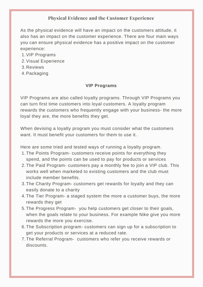#### **Physical Evidence and the Customer Experience**

As the physical evidence will have an impact on the customers attitude, it also has an impact on the customer experience. There are four main ways you can ensure physical evidence has a positive impact on the customer experience:

- 1. VIP Programs
- 2. Visual Experience
- 3. Reviews
- 4. Packaging

#### **VIP Programs**

VIP Programs are also called loyalty programs. Through VIP Programs you can turn first time customers into loyal customers. A loyalty program rewards the customers who frequently engage with your business- the more loyal they are, the more benefits they get.

When devising a loyalty program you must consider what the customers want. It must benefit your customers for them to use it.

Here are some tried and tested ways of running a loyalty program.

- 1. The Points Program- customers receive points for everything they spend, and the points can be used to pay for products or services
- 2. The Paid Program- customers pay a monthly fee to join a VIP club. This works well when marketed to existing customers and the club must include member benefits.
- 3. The Charity Program- customers get rewards for loyalty and they can easily donate to a charity
- The Tier Program- a staged system the more a customer buys, the more 4. rewards they get
- 5. The Progress Program- you help customers get closer to their goals, when the goals relate to your business. For example Nike give you more rewards the more you exercise.
- 6. The Subscription program- customers can sign up for a subscription to get your products or services at a reduced rate.
- The Referral Program- customers who refer you receive rewards or 7.discounts.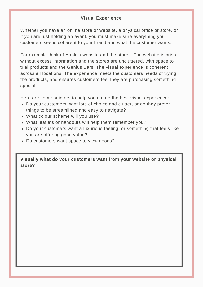#### **Visual Experience**

Whether you have an online store or website, a physical office or store, or if you are just holding an event, you must make sure everything your customers see is coherent to your brand and what the customer wants.

For example think of Apple's website and the stores. The website is crisp without excess information and the stores are uncluttered, with space to trial products and the Genius Bars. The visual experience is coherent across all locations. The experience meets the customers needs of trying the products, and ensures customers feel they are purchasing something special.

Here are some pointers to help you create the best visual experience:

- Do your customers want lots of choice and clutter, or do they prefer things to be streamlined and easy to navigate?
- What colour scheme will you use?
- What leaflets or handouts will help them remember you?
- Do your customers want a luxurious feeling, or something that feels like you are offering good value?
- Do customers want space to view goods?

**Visually what do your customers want from your website or physical store?**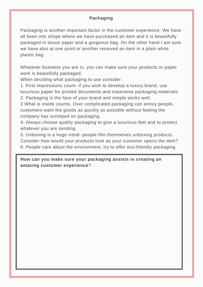#### **Packaging**

Packaging is another important factor in the customer experience. We have all been into shops where we have purchased an item and it is beautifully packaged in tissue paper and a gorgeous bag. On the other hand I am sure we have also at one point or another received an item in a plain white plastic bag.

Whatever business you are in, you can make sure your products or paper work is beautifully packaged.

When deciding what packaging to use consider:

1. First impressions count- if you wish to develop a luxury brand, use luxurious paper for printed documents and expensive packaging materials. 2. Packaging is the face of your brand and simple works well.

3 What is inside counts. Over complicated packaging can annoy people, customers want the goods as quickly as possible without feeling the company has scrimped on packaging.

4. Always choose quality packaging to give a luxurious feel and to protect whatever you are sending.

5. Unboxing is a huge trend- people film themselves unboxing products. Consider how would your products look as your customer opens the item? 6. People care about the environment, try to offer eco-friendly packaging.

#### **How can you make sure your packaging assists in creating an amazing customer experience**?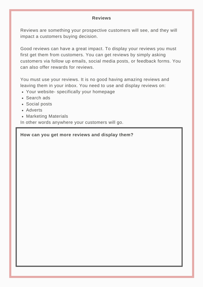#### **Reviews**

Reviews are something your prospective customers will see, and they will impact a customers buying decision.

Good reviews can have a great impact. To display your reviews you must first get them from customers. You can get reviews by simply asking customers via follow up emails, social media posts, or feedback forms. You can also offer rewards for reviews.

You must use your reviews. It is no good having amazing reviews and leaving them in your inbox. You need to use and display reviews on:

- Your website- specifically your homepage
- Search ads
- Social posts
- Adverts
- Marketing Materials

In other words anywhere your customers will go.

**How can you get more reviews and display them?**